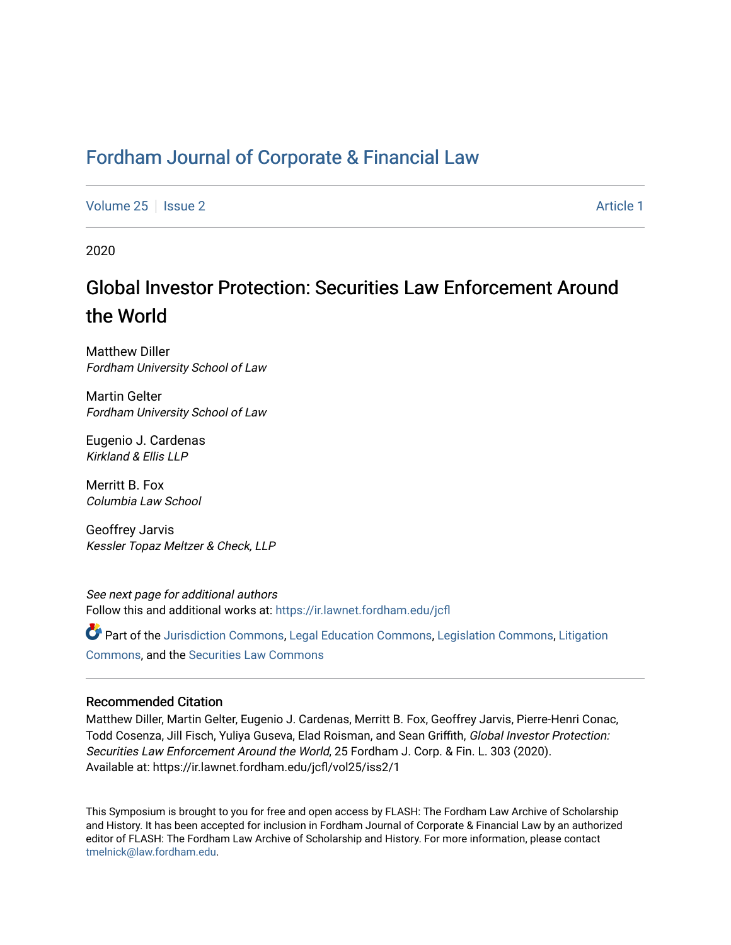## Fordham Journal of Corporate & Financial Law

[Volume 25](https://ir.lawnet.fordham.edu/jcfl/vol25) | [Issue 2](https://ir.lawnet.fordham.edu/jcfl/vol25/iss2) Article 1

2020

# Global Investor Protection: Securities Law Enforcement Around the World

Matthew Diller Fordham University School of Law

Martin Gelter Fordham University School of Law

Eugenio J. Cardenas Kirkland & Ellis LLP

Merritt B. Fox Columbia Law School

Geoffrey Jarvis Kessler Topaz Meltzer & Check, LLP

See next page for additional authors Follow this and additional works at: https://ir.lawnet.fordham.edu/jcfl

Part of the [Jurisdiction Commons](http://network.bepress.com/hgg/discipline/850?utm_source=ir.lawnet.fordham.edu/jcfl/vol25/iss2/1&utm_medium=PDF&utm_campaign=PDFCoverPages), [Legal Education Commons](http://network.bepress.com/hgg/discipline/857?utm_source=ir.lawnet.fordham.edu/jcfl/vol25/iss2/1&utm_medium=PDF&utm_campaign=PDFCoverPages), [Legislation Commons,](http://network.bepress.com/hgg/discipline/859?utm_source=ir.lawnet.fordham.edu/jcfl/vol25/iss2/1&utm_medium=PDF&utm_campaign=PDFCoverPages) [Litigation](http://network.bepress.com/hgg/discipline/910?utm_source=ir.lawnet.fordham.edu/jcfl/vol25/iss2/1&utm_medium=PDF&utm_campaign=PDFCoverPages)  [Commons](http://network.bepress.com/hgg/discipline/910?utm_source=ir.lawnet.fordham.edu/jcfl/vol25/iss2/1&utm_medium=PDF&utm_campaign=PDFCoverPages), and the [Securities Law Commons](http://network.bepress.com/hgg/discipline/619?utm_source=ir.lawnet.fordham.edu/jcfl/vol25/iss2/1&utm_medium=PDF&utm_campaign=PDFCoverPages) 

#### Recommended Citation

Matthew Diller, Martin Gelter, Eugenio J. Cardenas, Merritt B. Fox, Geoffrey Jarvis, Pierre-Henri Conac, Todd Cosenza, Jill Fisch, Yuliya Guseva, Elad Roisman, and Sean Griffith, Global Investor Protection: Securities Law Enforcement Around the World, 25 Fordham J. Corp. & Fin. L. 303 (2020). Available at: https://ir.lawnet.fordham.edu/jcfl/vol25/iss2/1

This Symposium is brought to you for free and open access by FLASH: The Fordham Law Archive of Scholarship and History. It has been accepted for inclusion in Fordham Journal of Corporate & Financial Law by an authorized editor of FLASH: The Fordham Law Archive of Scholarship and History. For more information, please contact [tmelnick@law.fordham.edu](mailto:tmelnick@law.fordham.edu).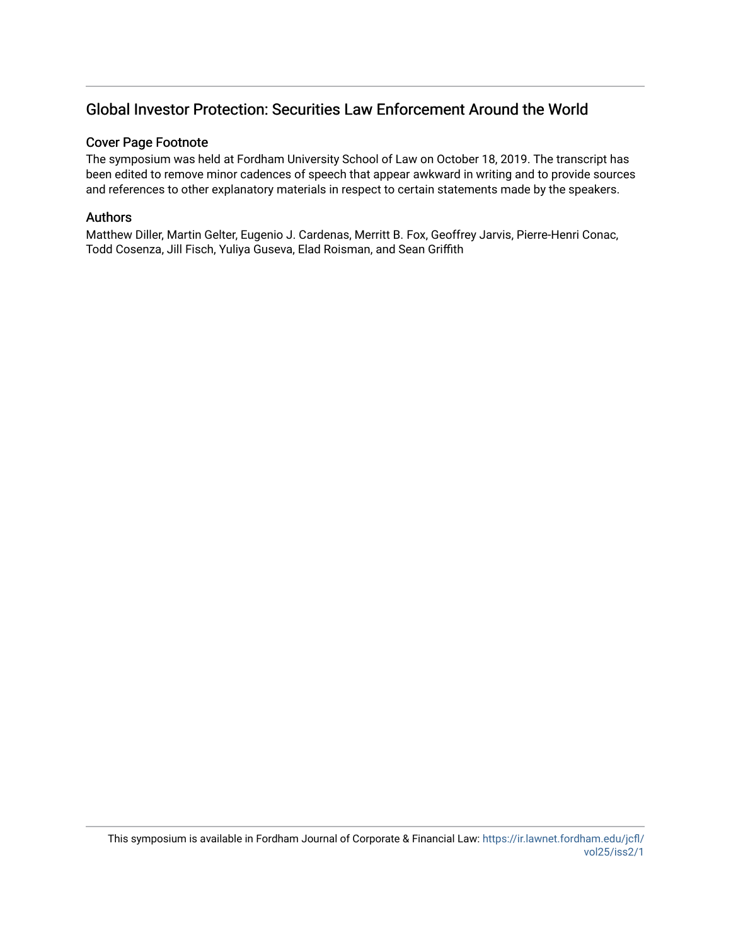## Global Investor Protection: Securities Law Enforcement Around the World

#### Cover Page Footnote

The symposium was held at Fordham University School of Law on October 18, 2019. The transcript has been edited to remove minor cadences of speech that appear awkward in writing and to provide sources and references to other explanatory materials in respect to certain statements made by the speakers.

#### Authors

Matthew Diller, Martin Gelter, Eugenio J. Cardenas, Merritt B. Fox, Geoffrey Jarvis, Pierre-Henri Conac, Todd Cosenza, Jill Fisch, Yuliya Guseva, Elad Roisman, and Sean Griffith